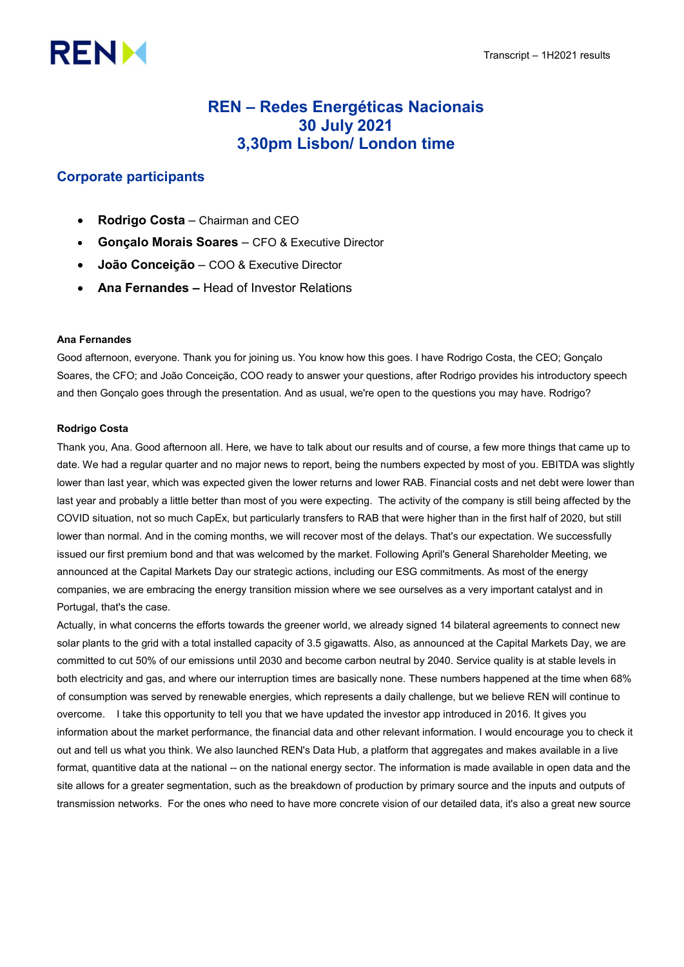# **RENM**

# REN – Redes Energéticas Nacionais 30 July 2021 3,30pm Lisbon/ London time

# Corporate participants

- Rodrigo Costa Chairman and CEO
- Gonçalo Morais Soares CFO & Executive Director
- João Conceição COO & Executive Director
- Ana Fernandes Head of Investor Relations

# Ana Fernandes

Good afternoon, everyone. Thank you for joining us. You know how this goes. I have Rodrigo Costa, the CEO; Gonçalo Soares, the CFO; and João Conceição, COO ready to answer your questions, after Rodrigo provides his introductory speech and then Gonçalo goes through the presentation. And as usual, we're open to the questions you may have. Rodrigo?

# Rodrigo Costa

Thank you, Ana. Good afternoon all. Here, we have to talk about our results and of course, a few more things that came up to date. We had a regular quarter and no major news to report, being the numbers expected by most of you. EBITDA was slightly lower than last year, which was expected given the lower returns and lower RAB. Financial costs and net debt were lower than last year and probably a little better than most of you were expecting. The activity of the company is still being affected by the COVID situation, not so much CapEx, but particularly transfers to RAB that were higher than in the first half of 2020, but still lower than normal. And in the coming months, we will recover most of the delays. That's our expectation. We successfully issued our first premium bond and that was welcomed by the market. Following April's General Shareholder Meeting, we announced at the Capital Markets Day our strategic actions, including our ESG commitments. As most of the energy companies, we are embracing the energy transition mission where we see ourselves as a very important catalyst and in Portugal, that's the case.

Actually, in what concerns the efforts towards the greener world, we already signed 14 bilateral agreements to connect new solar plants to the grid with a total installed capacity of 3.5 gigawatts. Also, as announced at the Capital Markets Day, we are committed to cut 50% of our emissions until 2030 and become carbon neutral by 2040. Service quality is at stable levels in both electricity and gas, and where our interruption times are basically none. These numbers happened at the time when 68% of consumption was served by renewable energies, which represents a daily challenge, but we believe REN will continue to overcome. I take this opportunity to tell you that we have updated the investor app introduced in 2016. It gives you information about the market performance, the financial data and other relevant information. I would encourage you to check it out and tell us what you think. We also launched REN's Data Hub, a platform that aggregates and makes available in a live format, quantitive data at the national -- on the national energy sector. The information is made available in open data and the site allows for a greater segmentation, such as the breakdown of production by primary source and the inputs and outputs of transmission networks. For the ones who need to have more concrete vision of our detailed data, it's also a great new source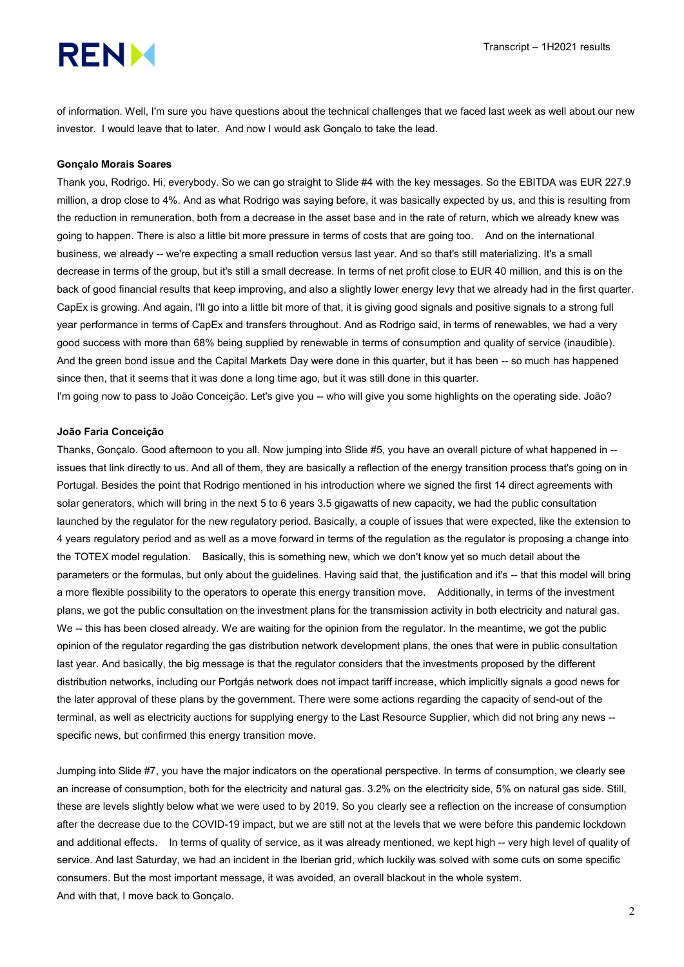# **RENM**

of information. Well, I'm sure you have questions about the technical challenges that we faced last week as well about our new investor. I would leave that to later. And now I would ask Gonçalo to take the lead.

#### Gonçalo Morais Soares

Thank you, Rodrigo. Hi, everybody. So we can go straight to Slide #4 with the key messages. So the EBITDA was EUR 227.9 million, a drop close to 4%. And as what Rodrigo was saying before, it was basically expected by us, and this is resulting from the reduction in remuneration, both from a decrease in the asset base and in the rate of return, which we already knew was going to happen. There is also a little bit more pressure in terms of costs that are going too. And on the international business, we already -- we're expecting a small reduction versus last year. And so that's still materializing. It's a small decrease in terms of the group, but it's still a small decrease. In terms of net profit close to EUR 40 million, and this is on the back of good financial results that keep improving, and also a slightly lower energy levy that we already had in the first quarter. CapEx is growing. And again, I'll go into a little bit more of that, it is giving good signals and positive signals to a strong full year performance in terms of CapEx and transfers throughout. And as Rodrigo said, in terms of renewables, we had a very good success with more than 68% being supplied by renewable in terms of consumption and quality of service (inaudible). And the green bond issue and the Capital Markets Day were done in this quarter, but it has been -- so much has happened since then, that it seems that it was done a long time ago, but it was still done in this quarter.

I'm going now to pass to João Conceição. Let's give you -- who will give you some highlights on the operating side. João?

## João Faria Conceição

Thanks, Gonçalo. Good afternoon to you all. Now jumping into Slide #5, you have an overall picture of what happened in - issues that link directly to us. And all of them, they are basically a reflection of the energy transition process that's going on in Portugal. Besides the point that Rodrigo mentioned in his introduction where we signed the first 14 direct agreements with solar generators, which will bring in the next 5 to 6 years 3.5 gigawatts of new capacity, we had the public consultation launched by the regulator for the new regulatory period. Basically, a couple of issues that were expected, like the extension to 4 years regulatory period and as well as a move forward in terms of the regulation as the regulator is proposing a change into the TOTEX model regulation. Basically, this is something new, which we don't know yet so much detail about the parameters or the formulas, but only about the guidelines. Having said that, the justification and it's -- that this model will bring a more flexible possibility to the operators to operate this energy transition move. Additionally, in terms of the investment plans, we got the public consultation on the investment plans for the transmission activity in both electricity and natural gas. We -- this has been closed already. We are waiting for the opinion from the regulator. In the meantime, we got the public opinion of the regulator regarding the gas distribution network development plans, the ones that were in public consultation last year. And basically, the big message is that the regulator considers that the investments proposed by the different distribution networks, including our Portgás network does not impact tariff increase, which implicitly signals a good news for the later approval of these plans by the government. There were some actions regarding the capacity of send-out of the terminal, as well as electricity auctions for supplying energy to the Last Resource Supplier, which did not bring any news - specific news, but confirmed this energy transition move.

Jumping into Slide #7, you have the major indicators on the operational perspective. In terms of consumption, we clearly see an increase of consumption, both for the electricity and natural gas. 3.2% on the electricity side, 5% on natural gas side. Still, these are levels slightly below what we were used to by 2019. So you clearly see a reflection on the increase of consumption after the decrease due to the COVID-19 impact, but we are still not at the levels that we were before this pandemic lockdown and additional effects. In terms of quality of service, as it was already mentioned, we kept high -- very high level of quality of service. And last Saturday, we had an incident in the Iberian grid, which luckily was solved with some cuts on some specific consumers. But the most important message, it was avoided, an overall blackout in the whole system. And with that, I move back to Gonçalo.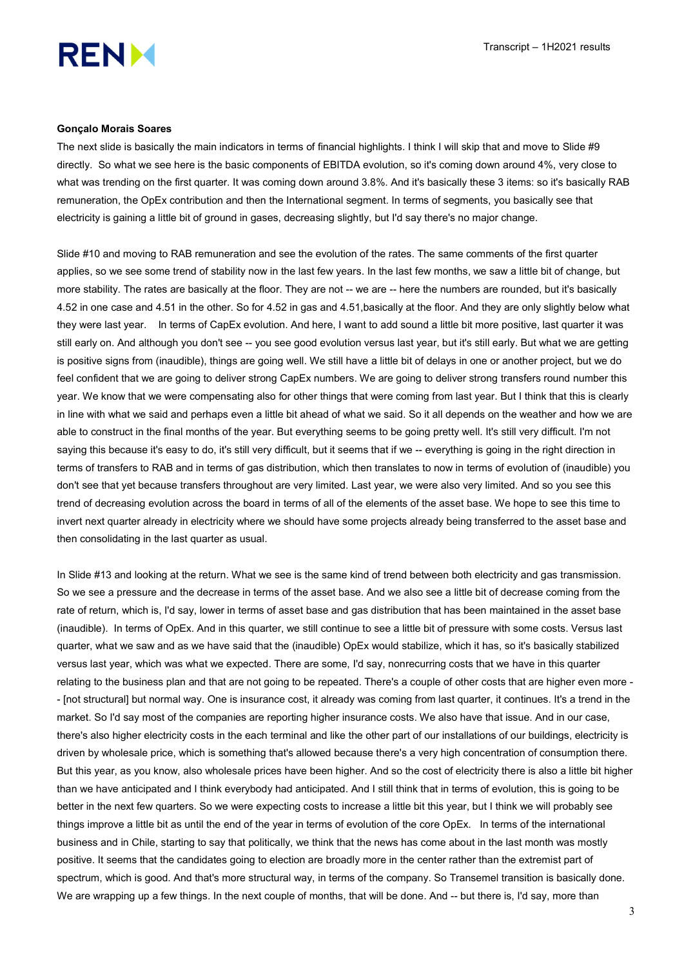

#### Gonçalo Morais Soares

The next slide is basically the main indicators in terms of financial highlights. I think I will skip that and move to Slide #9 directly. So what we see here is the basic components of EBITDA evolution, so it's coming down around 4%, very close to what was trending on the first quarter. It was coming down around 3.8%. And it's basically these 3 items: so it's basically RAB remuneration, the OpEx contribution and then the International segment. In terms of segments, you basically see that electricity is gaining a little bit of ground in gases, decreasing slightly, but I'd say there's no major change.

Slide #10 and moving to RAB remuneration and see the evolution of the rates. The same comments of the first quarter applies, so we see some trend of stability now in the last few years. In the last few months, we saw a little bit of change, but more stability. The rates are basically at the floor. They are not -- we are -- here the numbers are rounded, but it's basically 4.52 in one case and 4.51 in the other. So for 4.52 in gas and 4.51,basically at the floor. And they are only slightly below what they were last year. In terms of CapEx evolution. And here, I want to add sound a little bit more positive, last quarter it was still early on. And although you don't see -- you see good evolution versus last year, but it's still early. But what we are getting is positive signs from (inaudible), things are going well. We still have a little bit of delays in one or another project, but we do feel confident that we are going to deliver strong CapEx numbers. We are going to deliver strong transfers round number this year. We know that we were compensating also for other things that were coming from last year. But I think that this is clearly in line with what we said and perhaps even a little bit ahead of what we said. So it all depends on the weather and how we are able to construct in the final months of the year. But everything seems to be going pretty well. It's still very difficult. I'm not saying this because it's easy to do, it's still very difficult, but it seems that if we -- everything is going in the right direction in terms of transfers to RAB and in terms of gas distribution, which then translates to now in terms of evolution of (inaudible) you don't see that yet because transfers throughout are very limited. Last year, we were also very limited. And so you see this trend of decreasing evolution across the board in terms of all of the elements of the asset base. We hope to see this time to invert next quarter already in electricity where we should have some projects already being transferred to the asset base and then consolidating in the last quarter as usual.

In Slide #13 and looking at the return. What we see is the same kind of trend between both electricity and gas transmission. So we see a pressure and the decrease in terms of the asset base. And we also see a little bit of decrease coming from the rate of return, which is, I'd say, lower in terms of asset base and gas distribution that has been maintained in the asset base (inaudible). In terms of OpEx. And in this quarter, we still continue to see a little bit of pressure with some costs. Versus last quarter, what we saw and as we have said that the (inaudible) OpEx would stabilize, which it has, so it's basically stabilized versus last year, which was what we expected. There are some, I'd say, nonrecurring costs that we have in this quarter relating to the business plan and that are not going to be repeated. There's a couple of other costs that are higher even more - - [not structural] but normal way. One is insurance cost, it already was coming from last quarter, it continues. It's a trend in the market. So I'd say most of the companies are reporting higher insurance costs. We also have that issue. And in our case, there's also higher electricity costs in the each terminal and like the other part of our installations of our buildings, electricity is driven by wholesale price, which is something that's allowed because there's a very high concentration of consumption there. But this year, as you know, also wholesale prices have been higher. And so the cost of electricity there is also a little bit higher than we have anticipated and I think everybody had anticipated. And I still think that in terms of evolution, this is going to be better in the next few quarters. So we were expecting costs to increase a little bit this year, but I think we will probably see things improve a little bit as until the end of the year in terms of evolution of the core OpEx. In terms of the international business and in Chile, starting to say that politically, we think that the news has come about in the last month was mostly positive. It seems that the candidates going to election are broadly more in the center rather than the extremist part of spectrum, which is good. And that's more structural way, in terms of the company. So Transemel transition is basically done. We are wrapping up a few things. In the next couple of months, that will be done. And -- but there is, I'd say, more than

3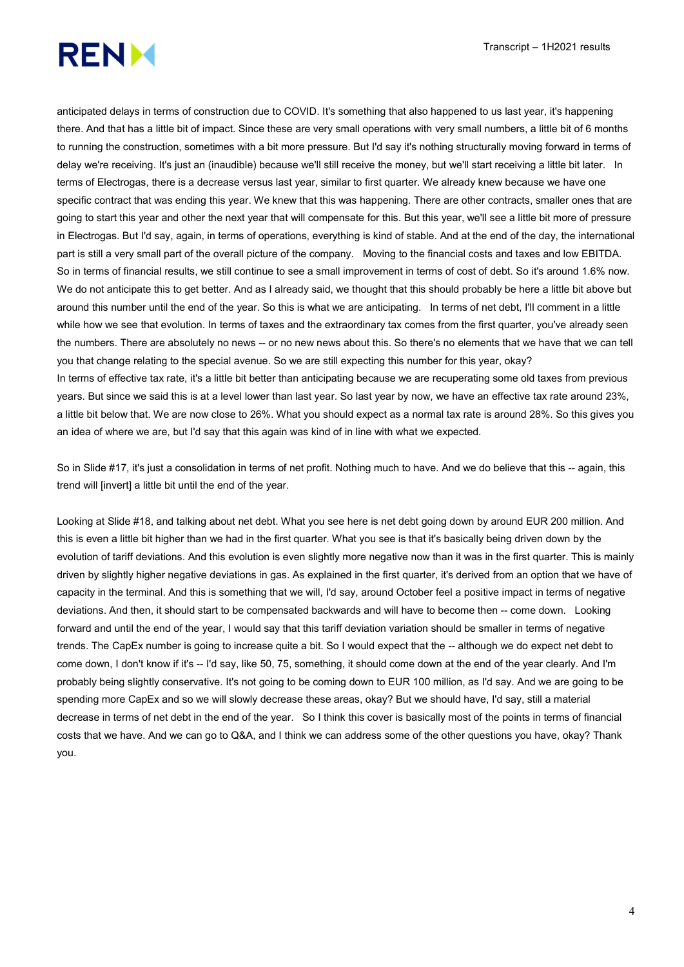

anticipated delays in terms of construction due to COVID. It's something that also happened to us last year, it's happening there. And that has a little bit of impact. Since these are very small operations with very small numbers, a little bit of 6 months to running the construction, sometimes with a bit more pressure. But I'd say it's nothing structurally moving forward in terms of delay we're receiving. It's just an (inaudible) because we'll still receive the money, but we'll start receiving a little bit later. In terms of Electrogas, there is a decrease versus last year, similar to first quarter. We already knew because we have one specific contract that was ending this year. We knew that this was happening. There are other contracts, smaller ones that are going to start this year and other the next year that will compensate for this. But this year, we'll see a little bit more of pressure in Electrogas. But I'd say, again, in terms of operations, everything is kind of stable. And at the end of the day, the international part is still a very small part of the overall picture of the company. Moving to the financial costs and taxes and low EBITDA. So in terms of financial results, we still continue to see a small improvement in terms of cost of debt. So it's around 1.6% now. We do not anticipate this to get better. And as I already said, we thought that this should probably be here a little bit above but around this number until the end of the year. So this is what we are anticipating. In terms of net debt, I'll comment in a little while how we see that evolution. In terms of taxes and the extraordinary tax comes from the first quarter, you've already seen the numbers. There are absolutely no news -- or no new news about this. So there's no elements that we have that we can tell you that change relating to the special avenue. So we are still expecting this number for this year, okay? In terms of effective tax rate, it's a little bit better than anticipating because we are recuperating some old taxes from previous years. But since we said this is at a level lower than last year. So last year by now, we have an effective tax rate around 23%, a little bit below that. We are now close to 26%. What you should expect as a normal tax rate is around 28%. So this gives you an idea of where we are, but I'd say that this again was kind of in line with what we expected.

So in Slide #17, it's just a consolidation in terms of net profit. Nothing much to have. And we do believe that this -- again, this trend will [invert] a little bit until the end of the year.

Looking at Slide #18, and talking about net debt. What you see here is net debt going down by around EUR 200 million. And this is even a little bit higher than we had in the first quarter. What you see is that it's basically being driven down by the evolution of tariff deviations. And this evolution is even slightly more negative now than it was in the first quarter. This is mainly driven by slightly higher negative deviations in gas. As explained in the first quarter, it's derived from an option that we have of capacity in the terminal. And this is something that we will, I'd say, around October feel a positive impact in terms of negative deviations. And then, it should start to be compensated backwards and will have to become then -- come down. Looking forward and until the end of the year, I would say that this tariff deviation variation should be smaller in terms of negative trends. The CapEx number is going to increase quite a bit. So I would expect that the -- although we do expect net debt to come down, I don't know if it's -- I'd say, like 50, 75, something, it should come down at the end of the year clearly. And I'm probably being slightly conservative. It's not going to be coming down to EUR 100 million, as I'd say. And we are going to be spending more CapEx and so we will slowly decrease these areas, okay? But we should have, I'd say, still a material decrease in terms of net debt in the end of the year. So I think this cover is basically most of the points in terms of financial costs that we have. And we can go to Q&A, and I think we can address some of the other questions you have, okay? Thank you.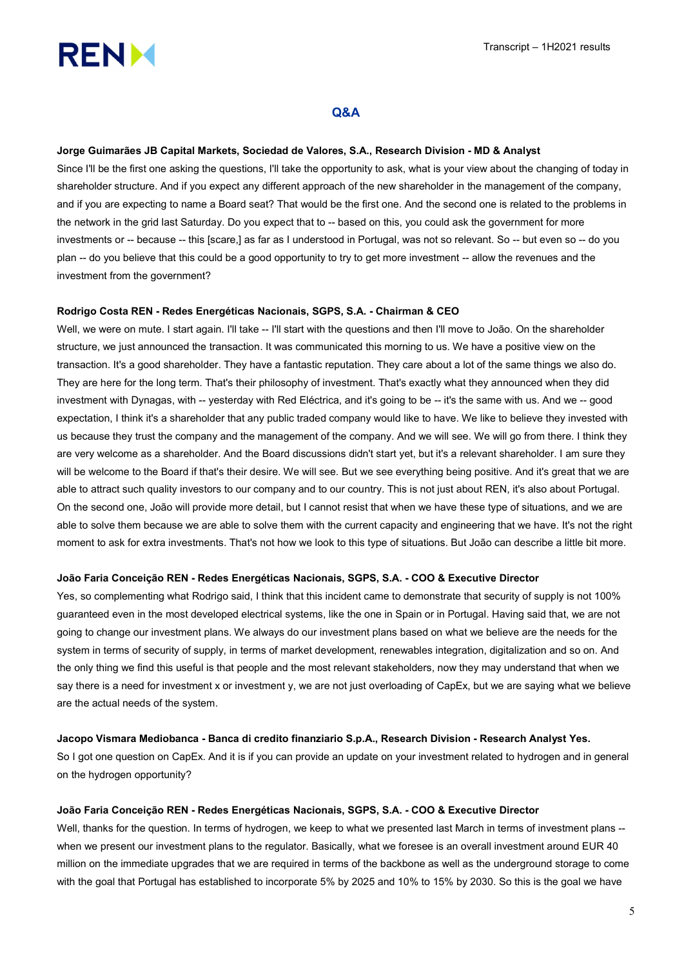

# Q&A

#### Jorge Guimarães JB Capital Markets, Sociedad de Valores, S.A., Research Division - MD & Analyst

Since I'll be the first one asking the questions, I'll take the opportunity to ask, what is your view about the changing of today in shareholder structure. And if you expect any different approach of the new shareholder in the management of the company, and if you are expecting to name a Board seat? That would be the first one. And the second one is related to the problems in the network in the grid last Saturday. Do you expect that to -- based on this, you could ask the government for more investments or -- because -- this [scare,] as far as I understood in Portugal, was not so relevant. So -- but even so -- do you plan -- do you believe that this could be a good opportunity to try to get more investment -- allow the revenues and the investment from the government?

# Rodrigo Costa REN - Redes Energéticas Nacionais, SGPS, S.A. - Chairman & CEO

Well, we were on mute. I start again. I'll take -- I'll start with the questions and then I'll move to João. On the shareholder structure, we just announced the transaction. It was communicated this morning to us. We have a positive view on the transaction. It's a good shareholder. They have a fantastic reputation. They care about a lot of the same things we also do. They are here for the long term. That's their philosophy of investment. That's exactly what they announced when they did investment with Dynagas, with -- yesterday with Red Eléctrica, and it's going to be -- it's the same with us. And we -- good expectation, I think it's a shareholder that any public traded company would like to have. We like to believe they invested with us because they trust the company and the management of the company. And we will see. We will go from there. I think they are very welcome as a shareholder. And the Board discussions didn't start yet, but it's a relevant shareholder. I am sure they will be welcome to the Board if that's their desire. We will see. But we see everything being positive. And it's great that we are able to attract such quality investors to our company and to our country. This is not just about REN, it's also about Portugal. On the second one, João will provide more detail, but I cannot resist that when we have these type of situations, and we are able to solve them because we are able to solve them with the current capacity and engineering that we have. It's not the right moment to ask for extra investments. That's not how we look to this type of situations. But João can describe a little bit more.

#### João Faria Conceição REN - Redes Energéticas Nacionais, SGPS, S.A. - COO & Executive Director

Yes, so complementing what Rodrigo said, I think that this incident came to demonstrate that security of supply is not 100% guaranteed even in the most developed electrical systems, like the one in Spain or in Portugal. Having said that, we are not going to change our investment plans. We always do our investment plans based on what we believe are the needs for the system in terms of security of supply, in terms of market development, renewables integration, digitalization and so on. And the only thing we find this useful is that people and the most relevant stakeholders, now they may understand that when we say there is a need for investment x or investment y, we are not just overloading of CapEx, but we are saying what we believe are the actual needs of the system.

#### Jacopo Vismara Mediobanca - Banca di credito finanziario S.p.A., Research Division - Research Analyst Yes.

So I got one question on CapEx. And it is if you can provide an update on your investment related to hydrogen and in general on the hydrogen opportunity?

# João Faria Conceição REN - Redes Energéticas Nacionais, SGPS, S.A. - COO & Executive Director

Well, thanks for the question. In terms of hydrogen, we keep to what we presented last March in terms of investment plans - when we present our investment plans to the regulator. Basically, what we foresee is an overall investment around EUR 40 million on the immediate upgrades that we are required in terms of the backbone as well as the underground storage to come with the goal that Portugal has established to incorporate 5% by 2025 and 10% to 15% by 2030. So this is the goal we have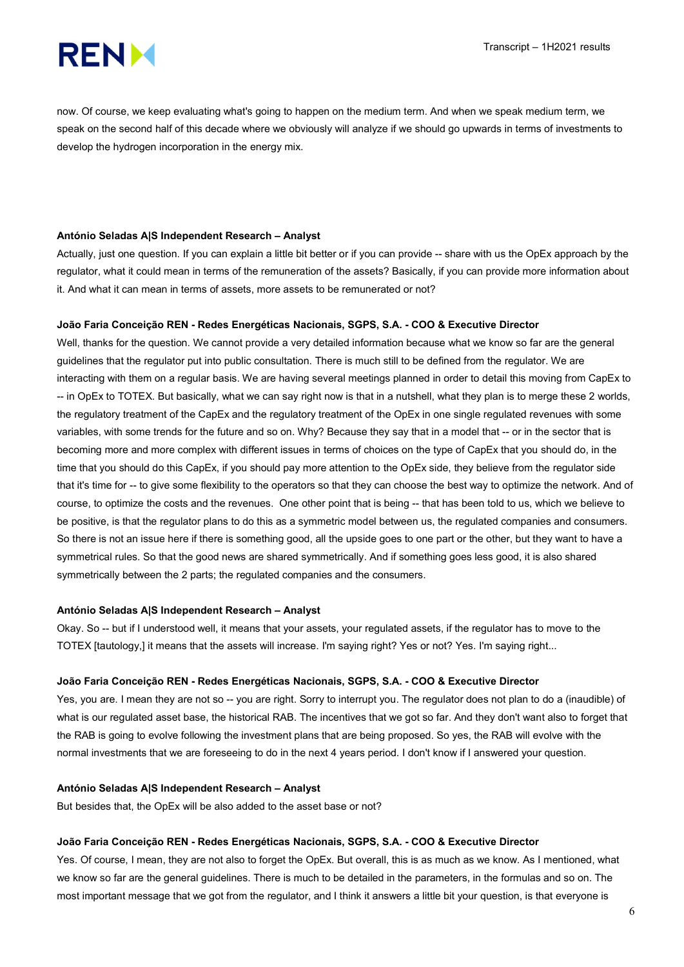

now. Of course, we keep evaluating what's going to happen on the medium term. And when we speak medium term, we speak on the second half of this decade where we obviously will analyze if we should go upwards in terms of investments to develop the hydrogen incorporation in the energy mix.

## António Seladas A|S Independent Research – Analyst

Actually, just one question. If you can explain a little bit better or if you can provide -- share with us the OpEx approach by the regulator, what it could mean in terms of the remuneration of the assets? Basically, if you can provide more information about it. And what it can mean in terms of assets, more assets to be remunerated or not?

## João Faria Conceição REN - Redes Energéticas Nacionais, SGPS, S.A. - COO & Executive Director

Well, thanks for the question. We cannot provide a very detailed information because what we know so far are the general guidelines that the regulator put into public consultation. There is much still to be defined from the regulator. We are interacting with them on a regular basis. We are having several meetings planned in order to detail this moving from CapEx to -- in OpEx to TOTEX. But basically, what we can say right now is that in a nutshell, what they plan is to merge these 2 worlds, the regulatory treatment of the CapEx and the regulatory treatment of the OpEx in one single regulated revenues with some variables, with some trends for the future and so on. Why? Because they say that in a model that -- or in the sector that is becoming more and more complex with different issues in terms of choices on the type of CapEx that you should do, in the time that you should do this CapEx, if you should pay more attention to the OpEx side, they believe from the regulator side that it's time for -- to give some flexibility to the operators so that they can choose the best way to optimize the network. And of course, to optimize the costs and the revenues. One other point that is being -- that has been told to us, which we believe to be positive, is that the regulator plans to do this as a symmetric model between us, the regulated companies and consumers. So there is not an issue here if there is something good, all the upside goes to one part or the other, but they want to have a symmetrical rules. So that the good news are shared symmetrically. And if something goes less good, it is also shared symmetrically between the 2 parts; the regulated companies and the consumers.

# António Seladas A|S Independent Research – Analyst

Okay. So -- but if I understood well, it means that your assets, your regulated assets, if the regulator has to move to the TOTEX [tautology,] it means that the assets will increase. I'm saying right? Yes or not? Yes. I'm saying right...

#### João Faria Conceição REN - Redes Energéticas Nacionais, SGPS, S.A. - COO & Executive Director

Yes, you are. I mean they are not so -- you are right. Sorry to interrupt you. The regulator does not plan to do a (inaudible) of what is our regulated asset base, the historical RAB. The incentives that we got so far. And they don't want also to forget that the RAB is going to evolve following the investment plans that are being proposed. So yes, the RAB will evolve with the normal investments that we are foreseeing to do in the next 4 years period. I don't know if I answered your question.

#### António Seladas A|S Independent Research – Analyst

But besides that, the OpEx will be also added to the asset base or not?

#### João Faria Conceição REN - Redes Energéticas Nacionais, SGPS, S.A. - COO & Executive Director

Yes. Of course, I mean, they are not also to forget the OpEx. But overall, this is as much as we know. As I mentioned, what we know so far are the general guidelines. There is much to be detailed in the parameters, in the formulas and so on. The most important message that we got from the regulator, and I think it answers a little bit your question, is that everyone is